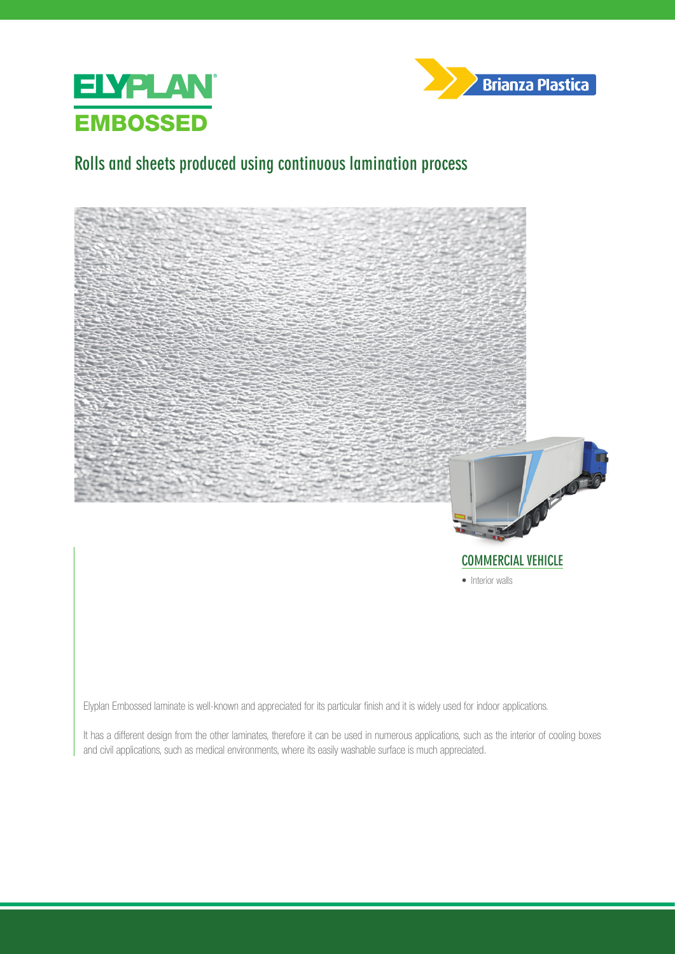



## **Rolls and sheets produced using continuous lamination process**





• Interior walls

Elyplan Embossed laminate is well-known and appreciated for its particular finish and it is widely used for indoor applications.

It has a different design from the other laminates, therefore it can be used in numerous applications, such as the interior of cooling boxes and civil applications, such as medical environments, where its easily washable surface is much appreciated.